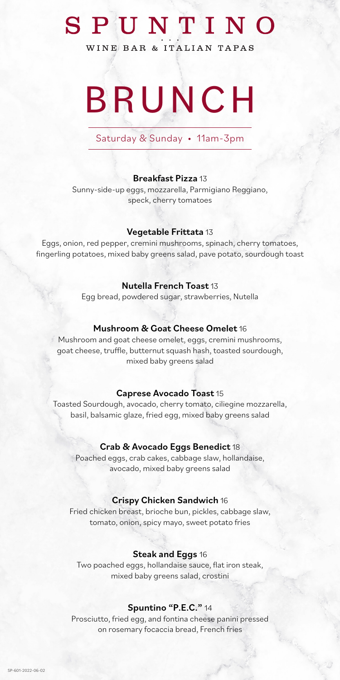# SPUNTINO

WINE BAR & ITALIAN TAPAS

# BRUNCH

### Saturday & Sunday • 11am-3pm

### Breakfast Pizza 13

Sunny-side-up eggs, mozzarella, Parmigiano Reggiano, speck, cherry tomatoes

### Vegetable Frittata 13

Eggs, onion, red pepper, cremini mushrooms, spinach, cherry tomatoes, fingerling potatoes, mixed baby greens salad, pave potato, sourdough toast

### Nutella French Toast 13

Egg bread, powdered sugar, strawberries, Nutella

### Mushroom & Goat Cheese Omelet 16

Mushroom and goat cheese omelet, eggs, cremini mushrooms, goat cheese, truffle, butternut squash hash, toasted sourdough, mixed baby greens salad

### Caprese Avocado Toast 15

Toasted Sourdough, avocado, cherry tomato, ciliegine mozzarella, basil, balsamic glaze, fried egg, mixed baby greens salad

### Crab & Avocado Eggs Benedict 18

Poached eggs, crab cakes, cabbage slaw, hollandaise, avocado, mixed baby greens salad

### Crispy Chicken Sandwich 16

Fried chicken breast, brioche bun, pickles, cabbage slaw, tomato, onion, spicy mayo, sweet potato fries

### Steak and Eggs 16

Two poached eggs, hollandaise sauce, flat iron steak, mixed baby greens salad, crostini

### Spuntino "P.E.C." 14

Prosciutto, fried egg, and fontina cheese panini pressed on rosemary focaccia bread, French fries